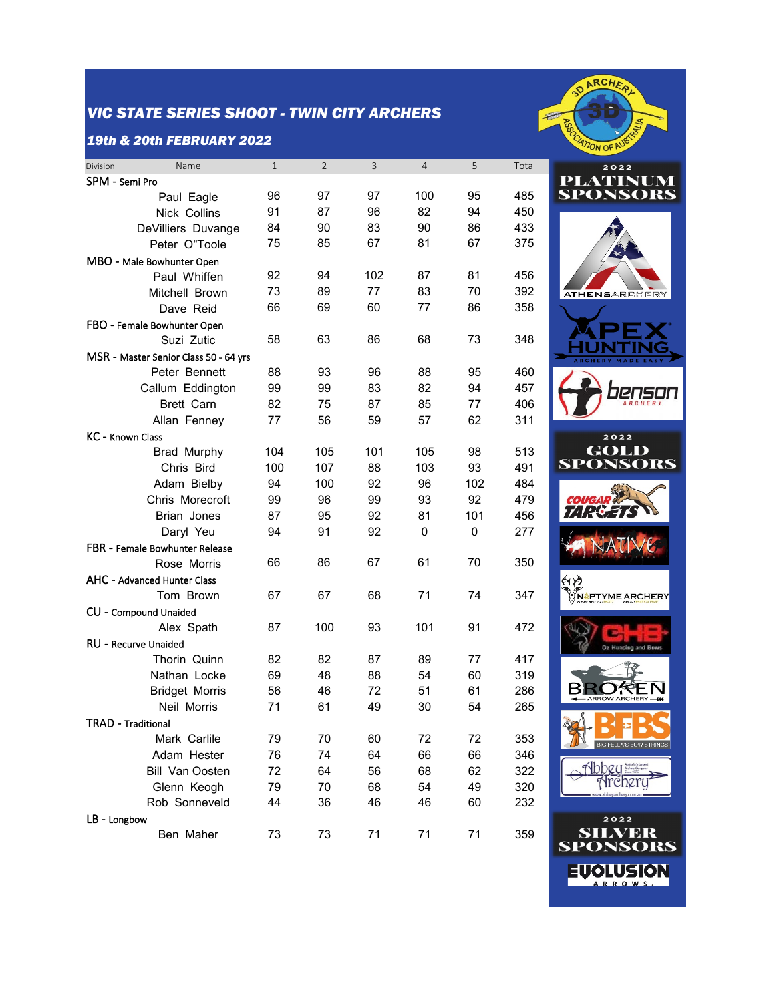## *VIC STATE SERIES SHOOT - TWIN CITY ARCHERS*

#### *19th & 20th FEBRUARY 2022*

| Name<br>Division                      | $\mathbf{1}$ | $\overline{2}$ | 3   | $\overline{4}$ | 5   | Total |
|---------------------------------------|--------------|----------------|-----|----------------|-----|-------|
| SPM - Semi Pro                        |              |                |     |                |     |       |
| Paul Eagle                            | 96           | 97             | 97  | 100            | 95  | 485   |
| Nick Collins                          | 91           | 87             | 96  | 82             | 94  | 450   |
| DeVilliers Duvange                    | 84           | 90             | 83  | 90             | 86  | 433   |
| Peter O"Toole                         | 75           | 85             | 67  | 81             | 67  | 375   |
| MBO - Male Bowhunter Open             |              |                |     |                |     |       |
| Paul Whiffen                          | 92           | 94             | 102 | 87             | 81  | 456   |
| Mitchell Brown                        | 73           | 89             | 77  | 83             | 70  | 392   |
| Dave Reid                             | 66           | 69             | 60  | 77             | 86  | 358   |
| FBO - Female Bowhunter Open           |              |                |     |                |     |       |
| Suzi Zutic                            | 58           | 63             | 86  | 68             | 73  | 348   |
| MSR - Master Senior Class 50 - 64 yrs |              |                |     |                |     |       |
| Peter Bennett                         | 88           | 93             | 96  | 88             | 95  | 460   |
| Callum Eddington                      | 99           | 99             | 83  | 82             | 94  | 457   |
| <b>Brett Carn</b>                     | 82           | 75             | 87  | 85             | 77  | 406   |
| Allan Fenney                          | 77           | 56             | 59  | 57             | 62  | 311   |
| KC - Known Class                      |              |                |     |                |     |       |
| Brad Murphy                           | 104          | 105            | 101 | 105            | 98  | 513   |
| Chris Bird                            | 100          | 107            | 88  | 103            | 93  | 491   |
| Adam Bielby                           | 94           | 100            | 92  | 96             | 102 | 484   |
| Chris Morecroft                       | 99           | 96             | 99  | 93             | 92  | 479   |
| Brian Jones                           | 87           | 95             | 92  | 81             | 101 | 456   |
| Daryl Yeu                             | 94           | 91             | 92  | 0              | 0   | 277   |
| FBR - Female Bowhunter Release        |              |                |     |                |     |       |
| Rose Morris                           | 66           | 86             | 67  | 61             | 70  | 350   |
| AHC - Advanced Hunter Class           |              |                |     |                |     |       |
| Tom Brown                             | 67           | 67             | 68  | 71             | 74  | 347   |
| CU - Compound Unaided                 |              |                |     |                |     |       |
| Alex Spath                            | 87           | 100            | 93  | 101            | 91  | 472   |
| RU - Recurve Unaided                  |              |                |     |                |     |       |
| Thorin Quinn                          | 82           | 82             | 87  | 89             | 77  | 417   |
| Nathan Locke                          | 69           | 48             | 88  | 54             | 60  | 319   |
| <b>Bridget Morris</b>                 | 56           | 46             | 72  | 51             | 61  | 286   |
| Neil Morris                           | 71           | 61             | 49  | 30             | 54  | 265   |
| <b>TRAD - Traditional</b>             |              |                |     |                |     |       |
| Mark Carlile                          | 79           | 70             | 60  | 72             | 72  | 353   |
| Adam Hester                           | 76           | 74             | 64  | 66             | 66  | 346   |
| <b>Bill Van Oosten</b>                | 72           | 64             | 56  | 68             | 62  | 322   |
| Glenn Keogh                           | 79           | 70             | 68  | 54             | 49  | 320   |
| Rob Sonneveld                         | 44           | 36             | 46  | 46             | 60  | 232   |
| LB - Longbow                          |              |                |     |                |     |       |
| Ben Maher                             | 73           | 73             | 71  | 71             | 71  | 359   |
|                                       |              |                |     |                |     |       |